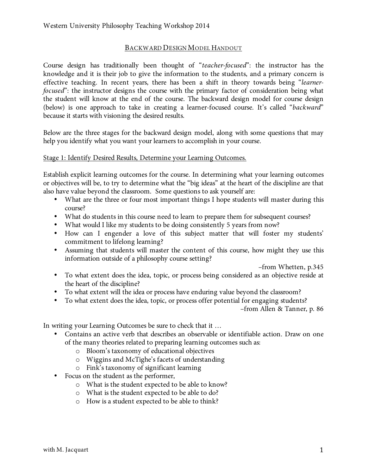# BACKWARD DESIGN MODEL HANDOUT

Course design has traditionally been thought of "*teacher-focused*": the instructor has the knowledge and it is their job to give the information to the students, and a primary concern is effective teaching. In recent years, there has been a shift in theory towards being "*learnerfocused*": the instructor designs the course with the primary factor of consideration being what the student will know at the end of the course. The backward design model for course design (below) is one approach to take in creating a learner-focused course. It's called "*backward*" because it starts with visioning the desired results.

Below are the three stages for the backward design model, along with some questions that may help you identify what you want your learners to accomplish in your course.

## Stage 1: Identify Desired Results, Determine your Learning Outcomes.

Establish explicit learning outcomes for the course. In determining what your learning outcomes or objectives will be, to try to determine what the "big ideas" at the heart of the discipline are that also have value beyond the classroom. Some questions to ask yourself are:

- What are the three or four most important things I hope students will master during this course?
- What do students in this course need to learn to prepare them for subsequent courses?
- What would I like my students to be doing consistently 5 years from now?
- How can I engender a love of this subject matter that will foster my students' commitment to lifelong learning?
- Assuming that students will master the content of this course, how might they use this information outside of a philosophy course setting?

–from Whetten, p.345

- To what extent does the idea, topic, or process being considered as an objective reside at the heart of the discipline?
- To what extent will the idea or process have enduring value beyond the classroom?
- To what extent does the idea, topic, or process offer potential for engaging students?

–from Allen & Tanner, p. 86

In writing your Learning Outcomes be sure to check that it …

- Contains an active verb that describes an observable or identifiable action. Draw on one of the many theories related to preparing learning outcomes such as:
	- o Bloom's taxonomy of educational objectives
	- o Wiggins and McTighe's facets of understanding
	- o Fink's taxonomy of significant learning
- Focus on the student as the performer,
	- o What is the student expected to be able to know?
	- o What is the student expected to be able to do?
	- o How is a student expected to be able to think?